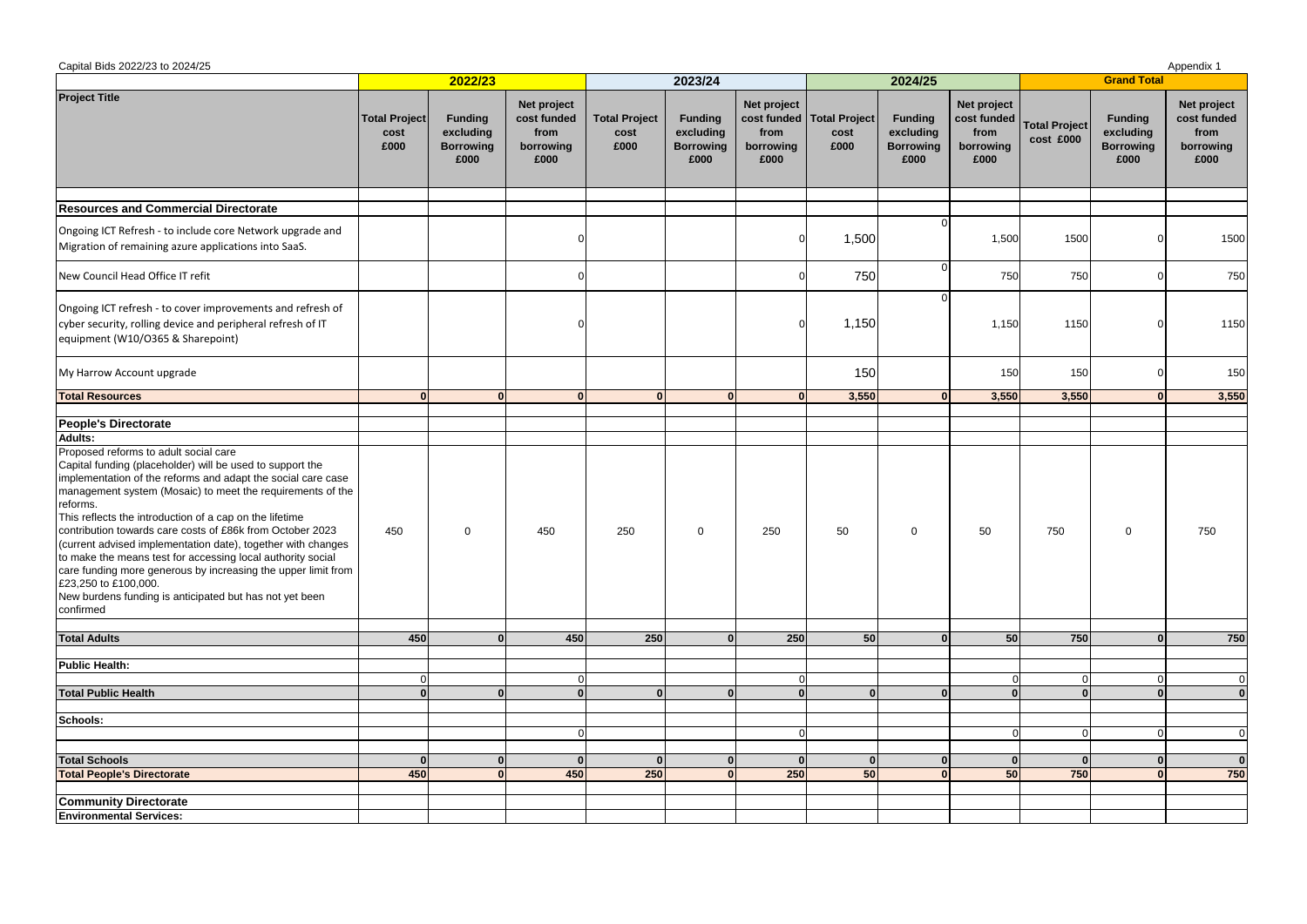| Capital Bids 2022/23 to 2024/25<br>Appendix 1                                                                                                                                                                                                                                                                                                                                                                                                                                                                                                                                                                                                                        |                                      |                                                         |                                                         |                                      |                                                         |                                          |                                               |                                                         |                                                           |                                   |                                                         |                                                         |  |
|----------------------------------------------------------------------------------------------------------------------------------------------------------------------------------------------------------------------------------------------------------------------------------------------------------------------------------------------------------------------------------------------------------------------------------------------------------------------------------------------------------------------------------------------------------------------------------------------------------------------------------------------------------------------|--------------------------------------|---------------------------------------------------------|---------------------------------------------------------|--------------------------------------|---------------------------------------------------------|------------------------------------------|-----------------------------------------------|---------------------------------------------------------|-----------------------------------------------------------|-----------------------------------|---------------------------------------------------------|---------------------------------------------------------|--|
|                                                                                                                                                                                                                                                                                                                                                                                                                                                                                                                                                                                                                                                                      | 2022/23                              |                                                         |                                                         |                                      | 2023/24                                                 |                                          |                                               | 2024/25                                                 |                                                           | <b>Grand Total</b>                |                                                         |                                                         |  |
| <b>Project Title</b>                                                                                                                                                                                                                                                                                                                                                                                                                                                                                                                                                                                                                                                 | <b>Total Project</b><br>cost<br>£000 | <b>Funding</b><br>excluding<br><b>Borrowing</b><br>£000 | Net project<br>cost funded<br>from<br>borrowing<br>£000 | <b>Total Project</b><br>cost<br>£000 | <b>Funding</b><br>excluding<br><b>Borrowing</b><br>£000 | Net project<br>from<br>borrowing<br>£000 | cost funded   Total Project  <br>cost<br>£000 | <b>Funding</b><br>excluding<br><b>Borrowing</b><br>£000 | Net project<br>cost funded  <br>from<br>borrowing<br>£000 | <b>Total Project</b><br>cost £000 | <b>Funding</b><br>excluding<br><b>Borrowing</b><br>£000 | Net project<br>cost funded<br>from<br>borrowing<br>£000 |  |
| <b>Resources and Commercial Directorate</b>                                                                                                                                                                                                                                                                                                                                                                                                                                                                                                                                                                                                                          |                                      |                                                         |                                                         |                                      |                                                         |                                          |                                               |                                                         |                                                           |                                   |                                                         |                                                         |  |
| Ongoing ICT Refresh - to include core Network upgrade and<br>Migration of remaining azure applications into SaaS.                                                                                                                                                                                                                                                                                                                                                                                                                                                                                                                                                    |                                      |                                                         |                                                         |                                      |                                                         |                                          | 1,500                                         |                                                         | 1,500                                                     | 1500                              |                                                         | 1500                                                    |  |
| New Council Head Office IT refit                                                                                                                                                                                                                                                                                                                                                                                                                                                                                                                                                                                                                                     |                                      |                                                         |                                                         |                                      |                                                         |                                          | 750                                           |                                                         | 750                                                       | 750                               |                                                         | 750                                                     |  |
| Ongoing ICT refresh - to cover improvements and refresh of<br>cyber security, rolling device and peripheral refresh of IT<br>equipment (W10/O365 & Sharepoint)                                                                                                                                                                                                                                                                                                                                                                                                                                                                                                       |                                      |                                                         |                                                         |                                      |                                                         |                                          | 1,150                                         |                                                         | 1,150                                                     | 1150                              |                                                         | 1150                                                    |  |
| My Harrow Account upgrade                                                                                                                                                                                                                                                                                                                                                                                                                                                                                                                                                                                                                                            |                                      |                                                         |                                                         |                                      |                                                         |                                          | 150                                           |                                                         | 150                                                       | 150                               |                                                         | 150                                                     |  |
| <b>Total Resources</b>                                                                                                                                                                                                                                                                                                                                                                                                                                                                                                                                                                                                                                               | $\Omega$                             | $\mathbf{u}$                                            | $\Omega$                                                |                                      |                                                         |                                          | 3,550                                         |                                                         | 3,550                                                     | 3,550                             |                                                         | 3,550                                                   |  |
|                                                                                                                                                                                                                                                                                                                                                                                                                                                                                                                                                                                                                                                                      |                                      |                                                         |                                                         |                                      |                                                         |                                          |                                               |                                                         |                                                           |                                   |                                                         |                                                         |  |
| <b>People's Directorate</b><br><b>Adults:</b>                                                                                                                                                                                                                                                                                                                                                                                                                                                                                                                                                                                                                        |                                      |                                                         |                                                         |                                      |                                                         |                                          |                                               |                                                         |                                                           |                                   |                                                         |                                                         |  |
| Proposed reforms to adult social care<br>Capital funding (placeholder) will be used to support the<br>implementation of the reforms and adapt the social care case<br>management system (Mosaic) to meet the requirements of the<br>reforms.<br>This reflects the introduction of a cap on the lifetime<br>contribution towards care costs of £86k from October 2023<br>(current advised implementation date), together with changes<br>to make the means test for accessing local authority social<br>care funding more generous by increasing the upper limit from<br>£23,250 to £100,000.<br>New burdens funding is anticipated but has not yet been<br>confirmed | 450                                  | $\overline{0}$                                          | 450                                                     | 250                                  | 0                                                       | 250                                      | 50                                            | 0                                                       | 50                                                        | 750                               | 0                                                       | 750                                                     |  |
| <b>Total Adults</b>                                                                                                                                                                                                                                                                                                                                                                                                                                                                                                                                                                                                                                                  | 450                                  | ΩI                                                      | 450                                                     | 250                                  | $\Omega$                                                | 250                                      | 50                                            | $\Omega$                                                | 50                                                        | 750                               | $\overline{0}$                                          | 750                                                     |  |
| <b>Public Health:</b>                                                                                                                                                                                                                                                                                                                                                                                                                                                                                                                                                                                                                                                |                                      |                                                         |                                                         |                                      |                                                         |                                          |                                               |                                                         |                                                           |                                   |                                                         |                                                         |  |
|                                                                                                                                                                                                                                                                                                                                                                                                                                                                                                                                                                                                                                                                      | $\Omega$                             |                                                         |                                                         |                                      |                                                         |                                          |                                               |                                                         | $\Omega$                                                  | $\Omega$                          | $\Omega$                                                | $\Omega$                                                |  |
| <b>Total Public Health</b>                                                                                                                                                                                                                                                                                                                                                                                                                                                                                                                                                                                                                                           | $\mathbf{0}$                         | ΩI                                                      | ΩI                                                      |                                      |                                                         |                                          |                                               |                                                         | $\Omega$                                                  | $\mathbf{0}$                      | $\mathbf{0}$                                            | $\mathbf{0}$                                            |  |
|                                                                                                                                                                                                                                                                                                                                                                                                                                                                                                                                                                                                                                                                      |                                      |                                                         |                                                         |                                      |                                                         |                                          |                                               |                                                         |                                                           |                                   |                                                         |                                                         |  |
| Schools:                                                                                                                                                                                                                                                                                                                                                                                                                                                                                                                                                                                                                                                             |                                      |                                                         |                                                         |                                      |                                                         |                                          |                                               |                                                         |                                                           |                                   |                                                         |                                                         |  |
|                                                                                                                                                                                                                                                                                                                                                                                                                                                                                                                                                                                                                                                                      |                                      |                                                         |                                                         |                                      |                                                         |                                          |                                               |                                                         | $\Omega$                                                  | $\Omega$                          | $\Omega$                                                | $\Omega$                                                |  |
| <b>Total Schools</b>                                                                                                                                                                                                                                                                                                                                                                                                                                                                                                                                                                                                                                                 | $\Omega$                             |                                                         | $\Omega$                                                |                                      | $\Omega$                                                |                                          |                                               |                                                         | $\Omega$                                                  | $\mathbf{0}$                      |                                                         | $\mathbf{0}$                                            |  |
| <b>Total People's Directorate</b>                                                                                                                                                                                                                                                                                                                                                                                                                                                                                                                                                                                                                                    | 450                                  |                                                         | 450                                                     | 250                                  | $\Omega$                                                | 250                                      | 50                                            |                                                         | 50                                                        | 750                               |                                                         | 750                                                     |  |
|                                                                                                                                                                                                                                                                                                                                                                                                                                                                                                                                                                                                                                                                      |                                      |                                                         |                                                         |                                      |                                                         |                                          |                                               |                                                         |                                                           |                                   |                                                         |                                                         |  |
| <b>Community Directorate</b>                                                                                                                                                                                                                                                                                                                                                                                                                                                                                                                                                                                                                                         |                                      |                                                         |                                                         |                                      |                                                         |                                          |                                               |                                                         |                                                           |                                   |                                                         |                                                         |  |
| <b>Environmental Services:</b>                                                                                                                                                                                                                                                                                                                                                                                                                                                                                                                                                                                                                                       |                                      |                                                         |                                                         |                                      |                                                         |                                          |                                               |                                                         |                                                           |                                   |                                                         |                                                         |  |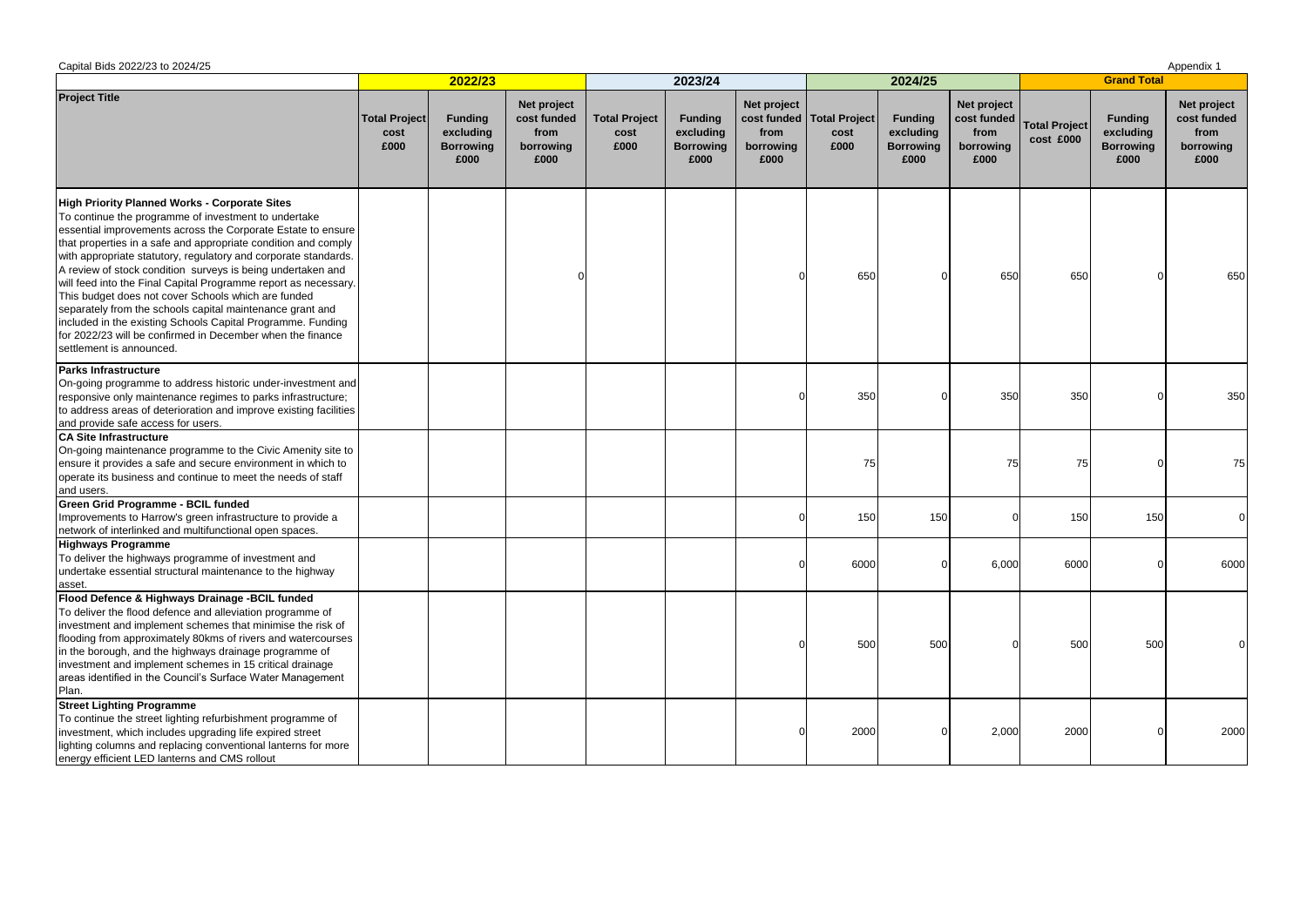| Capital Bids 2022/23 to 2024/25                                                                                                                                                                                                                                                                                                                                                                                                                                                                                                                                                                                                                                                                                           |                                      |                                                         |                                                         |                                      |                                                         |                                          |                                               |                                                         |                                                         |                                   |                                                         | Appendix 1                                              |  |
|---------------------------------------------------------------------------------------------------------------------------------------------------------------------------------------------------------------------------------------------------------------------------------------------------------------------------------------------------------------------------------------------------------------------------------------------------------------------------------------------------------------------------------------------------------------------------------------------------------------------------------------------------------------------------------------------------------------------------|--------------------------------------|---------------------------------------------------------|---------------------------------------------------------|--------------------------------------|---------------------------------------------------------|------------------------------------------|-----------------------------------------------|---------------------------------------------------------|---------------------------------------------------------|-----------------------------------|---------------------------------------------------------|---------------------------------------------------------|--|
|                                                                                                                                                                                                                                                                                                                                                                                                                                                                                                                                                                                                                                                                                                                           | 2022/23                              |                                                         |                                                         |                                      | 2023/24                                                 |                                          |                                               | 2024/25                                                 |                                                         | <b>Grand Total</b>                |                                                         |                                                         |  |
| <b>Project Title</b>                                                                                                                                                                                                                                                                                                                                                                                                                                                                                                                                                                                                                                                                                                      | <b>Total Project</b><br>cost<br>£000 | <b>Funding</b><br>excluding<br><b>Borrowing</b><br>£000 | Net project<br>cost funded<br>from<br>borrowing<br>£000 | <b>Total Project</b><br>cost<br>£000 | <b>Funding</b><br>excluding<br><b>Borrowing</b><br>£000 | Net project<br>from<br>borrowing<br>£000 | cost funded   Total Project  <br>cost<br>£000 | <b>Funding</b><br>excluding<br><b>Borrowing</b><br>£000 | Net project<br>cost funded<br>from<br>borrowing<br>£000 | <b>Total Project</b><br>cost £000 | <b>Funding</b><br>excluding<br><b>Borrowing</b><br>£000 | Net project<br>cost funded<br>from<br>borrowing<br>£000 |  |
| High Priority Planned Works - Corporate Sites<br>To continue the programme of investment to undertake<br>essential improvements across the Corporate Estate to ensure<br>that properties in a safe and appropriate condition and comply<br>with appropriate statutory, regulatory and corporate standards.<br>A review of stock condition surveys is being undertaken and<br>will feed into the Final Capital Programme report as necessary.<br>This budget does not cover Schools which are funded<br>separately from the schools capital maintenance grant and<br>included in the existing Schools Capital Programme. Funding<br>for 2022/23 will be confirmed in December when the finance<br>settlement is announced. |                                      |                                                         |                                                         |                                      |                                                         |                                          | 650                                           |                                                         | 650                                                     | 650                               |                                                         | 650                                                     |  |
| <b>Parks Infrastructure</b><br>On-going programme to address historic under-investment and<br>responsive only maintenance regimes to parks infrastructure;<br>to address areas of deterioration and improve existing facilities<br>and provide safe access for users.                                                                                                                                                                                                                                                                                                                                                                                                                                                     |                                      |                                                         |                                                         |                                      |                                                         |                                          | 350                                           |                                                         | 350                                                     | 350                               |                                                         | 350                                                     |  |
| <b>CA Site Infrastructure</b><br>On-going maintenance programme to the Civic Amenity site to<br>ensure it provides a safe and secure environment in which to<br>operate its business and continue to meet the needs of staff<br>and users.                                                                                                                                                                                                                                                                                                                                                                                                                                                                                |                                      |                                                         |                                                         |                                      |                                                         |                                          | 75                                            |                                                         | 75                                                      | 75                                |                                                         | 75                                                      |  |
| <b>Green Grid Programme - BCIL funded</b><br>Improvements to Harrow's green infrastructure to provide a<br>network of interlinked and multifunctional open spaces.                                                                                                                                                                                                                                                                                                                                                                                                                                                                                                                                                        |                                      |                                                         |                                                         |                                      |                                                         |                                          | 150                                           | 150                                                     |                                                         | 150                               | 150                                                     |                                                         |  |
| <b>Highways Programme</b><br>To deliver the highways programme of investment and<br>undertake essential structural maintenance to the highway<br>asset.                                                                                                                                                                                                                                                                                                                                                                                                                                                                                                                                                                   |                                      |                                                         |                                                         |                                      |                                                         |                                          | 6000                                          |                                                         | 6,000                                                   | 6000                              |                                                         | 6000                                                    |  |
| Flood Defence & Highways Drainage -BCIL funded<br>To deliver the flood defence and alleviation programme of<br>investment and implement schemes that minimise the risk of<br>flooding from approximately 80kms of rivers and watercourses<br>in the borough, and the highways drainage programme of<br>investment and implement schemes in 15 critical drainage<br>areas identified in the Council's Surface Water Management<br>Plan.                                                                                                                                                                                                                                                                                    |                                      |                                                         |                                                         |                                      |                                                         |                                          | 500                                           | 500                                                     |                                                         | 500                               | 500                                                     |                                                         |  |
| <b>Street Lighting Programme</b><br>To continue the street lighting refurbishment programme of<br>investment, which includes upgrading life expired street<br>lighting columns and replacing conventional lanterns for more<br>energy efficient LED lanterns and CMS rollout                                                                                                                                                                                                                                                                                                                                                                                                                                              |                                      |                                                         |                                                         |                                      |                                                         |                                          | 2000                                          |                                                         | 2,000                                                   | 2000                              |                                                         | 2000                                                    |  |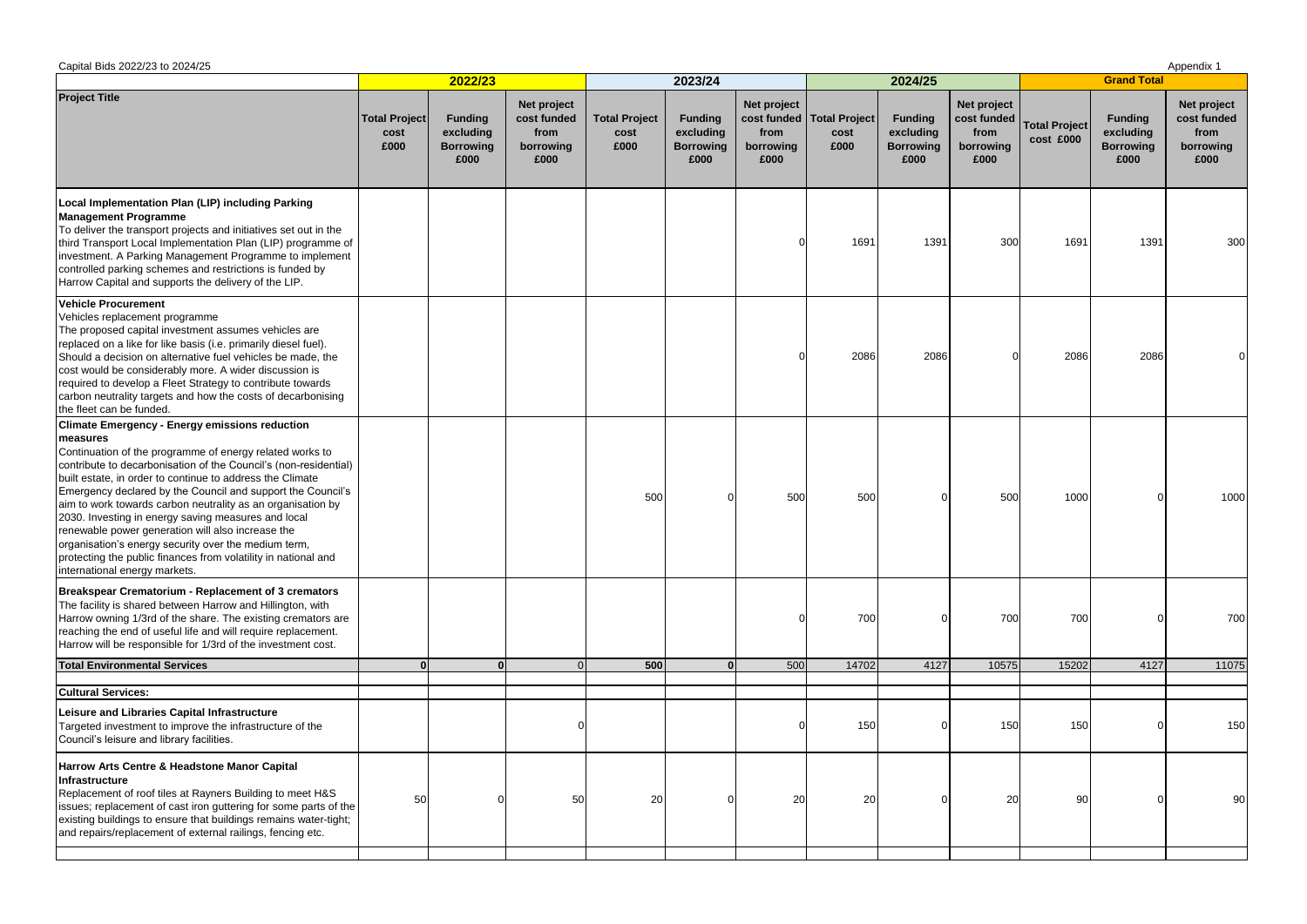| Capital Bids 2022/23 to 2024/25                                                                                                                                                                                                                                                                                                                                                                                                                                                                                                                                                                                                                                     |                                      |                                                         |                                                         |                                      |                                                         |                                          |                                               |                                                         |                                          |                                        |                                                         | Appendix 1                                              |
|---------------------------------------------------------------------------------------------------------------------------------------------------------------------------------------------------------------------------------------------------------------------------------------------------------------------------------------------------------------------------------------------------------------------------------------------------------------------------------------------------------------------------------------------------------------------------------------------------------------------------------------------------------------------|--------------------------------------|---------------------------------------------------------|---------------------------------------------------------|--------------------------------------|---------------------------------------------------------|------------------------------------------|-----------------------------------------------|---------------------------------------------------------|------------------------------------------|----------------------------------------|---------------------------------------------------------|---------------------------------------------------------|
|                                                                                                                                                                                                                                                                                                                                                                                                                                                                                                                                                                                                                                                                     |                                      | 2022/23                                                 |                                                         |                                      | 2023/24                                                 |                                          |                                               | 2024/25                                                 |                                          |                                        | <b>Grand Total</b>                                      |                                                         |
| <b>Project Title</b>                                                                                                                                                                                                                                                                                                                                                                                                                                                                                                                                                                                                                                                | <b>Total Project</b><br>cost<br>£000 | <b>Funding</b><br>excluding<br><b>Borrowing</b><br>£000 | Net project<br>cost funded<br>from<br>borrowing<br>£000 | <b>Total Project</b><br>cost<br>£000 | <b>Funding</b><br>excluding<br><b>Borrowing</b><br>£000 | Net project<br>from<br>borrowing<br>£000 | cost funded   Total Project  <br>cost<br>£000 | <b>Funding</b><br>excluding<br><b>Borrowing</b><br>£000 | Net project<br>from<br>borrowing<br>£000 | cost funded Total Project<br>cost £000 | <b>Funding</b><br>excluding<br><b>Borrowing</b><br>£000 | Net project<br>cost funded<br>from<br>borrowing<br>£000 |
| Local Implementation Plan (LIP) including Parking<br><b>Management Programme</b><br>To deliver the transport projects and initiatives set out in the<br>third Transport Local Implementation Plan (LIP) programme of<br>investment. A Parking Management Programme to implement<br>controlled parking schemes and restrictions is funded by<br>Harrow Capital and supports the delivery of the LIP.                                                                                                                                                                                                                                                                 |                                      |                                                         |                                                         |                                      |                                                         |                                          | 1691                                          | 1391                                                    | 300                                      | 1691                                   | 1391                                                    | 300                                                     |
| <b>Vehicle Procurement</b><br>Vehicles replacement programme<br>The proposed capital investment assumes vehicles are<br>replaced on a like for like basis (i.e. primarily diesel fuel).<br>Should a decision on alternative fuel vehicles be made, the<br>cost would be considerably more. A wider discussion is<br>required to develop a Fleet Strategy to contribute towards<br>carbon neutrality targets and how the costs of decarbonising<br>the fleet can be funded.                                                                                                                                                                                          |                                      |                                                         |                                                         |                                      |                                                         |                                          | 2086                                          | 2086                                                    |                                          | 2086                                   | 2086                                                    |                                                         |
| <b>Climate Emergency - Energy emissions reduction</b><br>measures<br>Continuation of the programme of energy related works to<br>contribute to decarbonisation of the Council's (non-residential)<br>built estate, in order to continue to address the Climate<br>Emergency declared by the Council and support the Council's<br>aim to work towards carbon neutrality as an organisation by<br>2030. Investing in energy saving measures and local<br>renewable power generation will also increase the<br>organisation's energy security over the medium term,<br>protecting the public finances from volatility in national and<br>international energy markets. |                                      |                                                         |                                                         | 500                                  |                                                         | 500                                      | 500                                           |                                                         | 500                                      | 1000                                   |                                                         | 1000                                                    |
| <b>Breakspear Crematorium - Replacement of 3 cremators</b><br>The facility is shared between Harrow and Hillington, with<br>Harrow owning 1/3rd of the share. The existing cremators are<br>reaching the end of useful life and will require replacement.<br>Harrow will be responsible for 1/3rd of the investment cost.                                                                                                                                                                                                                                                                                                                                           |                                      |                                                         |                                                         |                                      |                                                         |                                          | 700                                           |                                                         | 700                                      | 700                                    |                                                         | 700                                                     |
| <b>Total Environmental Services</b>                                                                                                                                                                                                                                                                                                                                                                                                                                                                                                                                                                                                                                 |                                      |                                                         |                                                         | 500                                  | 0 <sup>1</sup>                                          | 500                                      | 14702                                         | 4127                                                    | 10575                                    | 15202                                  | 4127                                                    | 11075                                                   |
| <b>Cultural Services:</b>                                                                                                                                                                                                                                                                                                                                                                                                                                                                                                                                                                                                                                           |                                      |                                                         |                                                         |                                      |                                                         |                                          |                                               |                                                         |                                          |                                        |                                                         |                                                         |
| Leisure and Libraries Capital Infrastructure<br>Targeted investment to improve the infrastructure of the<br>Council's leisure and library facilities.                                                                                                                                                                                                                                                                                                                                                                                                                                                                                                               |                                      |                                                         |                                                         |                                      |                                                         |                                          | 150                                           |                                                         | 150                                      | 150                                    |                                                         | 150                                                     |
| Harrow Arts Centre & Headstone Manor Capital<br>Infrastructure<br>Replacement of roof tiles at Rayners Building to meet H&S<br>issues; replacement of cast iron guttering for some parts of the<br>existing buildings to ensure that buildings remains water-tight;<br>and repairs/replacement of external railings, fencing etc.                                                                                                                                                                                                                                                                                                                                   | 50                                   |                                                         | 50                                                      | 20                                   |                                                         | 20                                       | 20                                            |                                                         | 20                                       | 90                                     |                                                         | 90                                                      |
|                                                                                                                                                                                                                                                                                                                                                                                                                                                                                                                                                                                                                                                                     |                                      |                                                         |                                                         |                                      |                                                         |                                          |                                               |                                                         |                                          |                                        |                                                         |                                                         |